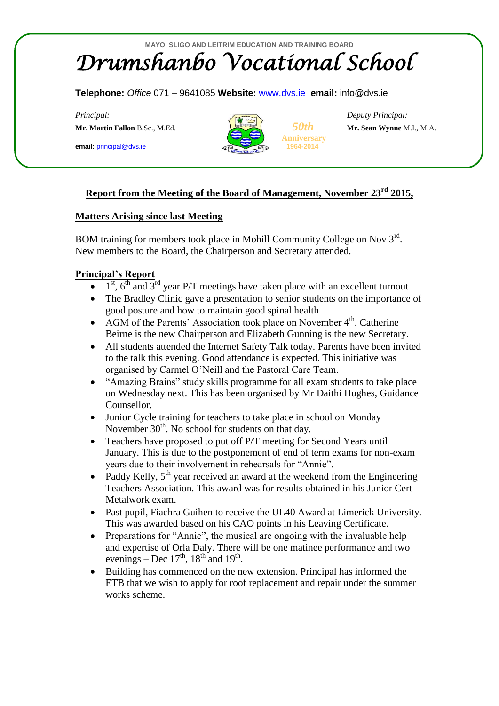# **MAYO, SLIGO AND LEITRIM EDUCATION AND TRAINING BOARD** *Drumshanbo Vocational School*

#### **Telephone:** *Office* 071 – 9641085 **Website:** [www.dvs.ie](http://www.dvs.ie/) **email:** info@dvs.ie

**Mr. Martin Fallon** B.Sc., M.Ed.*50th* **Mr. Sean Wynne** M.I., M.A.

**email:** [principal@dvs.ie](mailto:principal@dvs.ie) **1964-2014**



**Anniversary**

*Principal: Deputy Principal:*

## **Report from the Meeting of the Board of Management, November 23rd 2015,**

#### **Matters Arising since last Meeting**

BOM training for members took place in Mohill Community College on Nov  $3<sup>rd</sup>$ . New members to the Board, the Chairperson and Secretary attended.

#### **Principal's Report**

- $\bullet$  1<sup>st</sup>, 6<sup>th</sup> and 3<sup>rd</sup> year P/T meetings have taken place with an excellent turnout
- The Bradley Clinic gave a presentation to senior students on the importance of good posture and how to maintain good spinal health
- AGM of the Parents' Association took place on November  $4<sup>th</sup>$ . Catherine Beirne is the new Chairperson and Elizabeth Gunning is the new Secretary.
- All students attended the Internet Safety Talk today. Parents have been invited to the talk this evening. Good attendance is expected. This initiative was organised by Carmel O'Neill and the Pastoral Care Team.
- "Amazing Brains" study skills programme for all exam students to take place on Wednesday next. This has been organised by Mr Daithi Hughes, Guidance Counsellor.
- Junior Cycle training for teachers to take place in school on Monday November  $30<sup>th</sup>$ . No school for students on that day.
- Teachers have proposed to put off P/T meeting for Second Years until January. This is due to the postponement of end of term exams for non-exam years due to their involvement in rehearsals for "Annie".
- Paddy Kelly,  $5<sup>th</sup>$  year received an award at the weekend from the Engineering Teachers Association. This award was for results obtained in his Junior Cert Metalwork exam.
- Past pupil, Fiachra Guihen to receive the UL40 Award at Limerick University. This was awarded based on his CAO points in his Leaving Certificate.
- Preparations for "Annie", the musical are ongoing with the invaluable help and expertise of Orla Daly. There will be one matinee performance and two evenings – Dec  $17<sup>th</sup>$ ,  $18<sup>th</sup>$  and  $19<sup>th</sup>$ .
- Building has commenced on the new extension. Principal has informed the ETB that we wish to apply for roof replacement and repair under the summer works scheme.